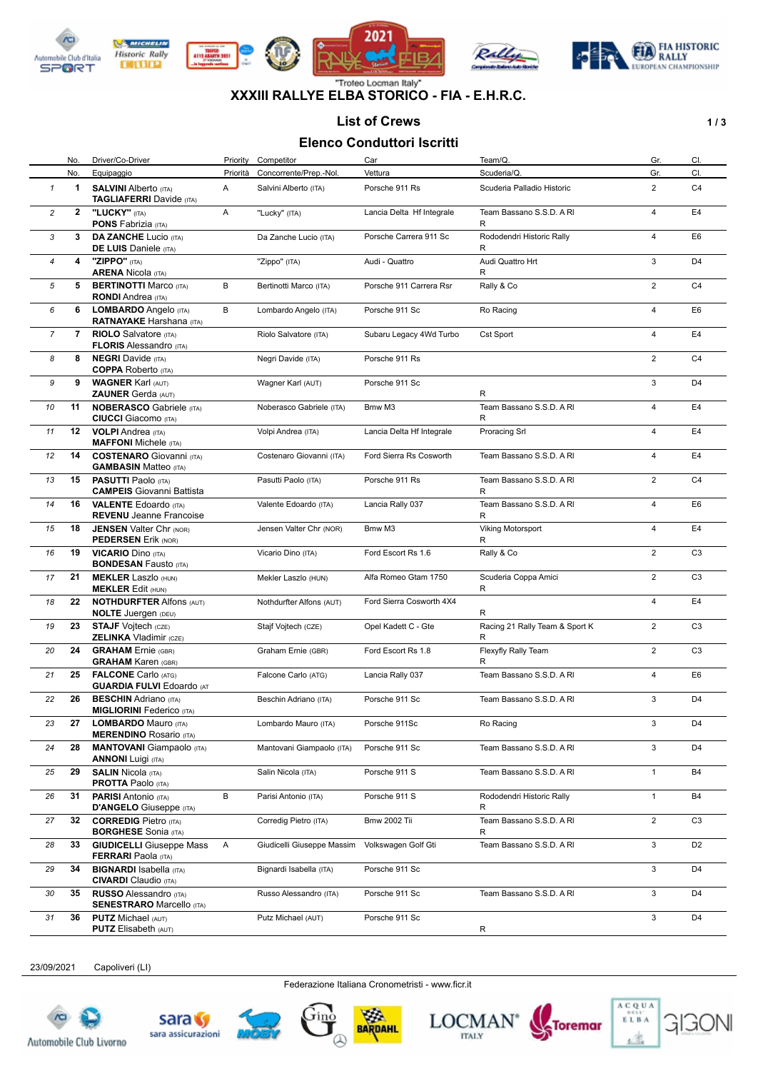

**DITURN** 









#### "Troteo Locman Italy" **XXXIII RALLYE ELBA STORICO - FIA - E.H.R.C.**

### List of Crews **1/3**

## **Elenco Conduttori Iscritti**

|                | Elenco Conduttori Iscritti |                                                                   |          |                            |                           |                                     |                |                |  |  |
|----------------|----------------------------|-------------------------------------------------------------------|----------|----------------------------|---------------------------|-------------------------------------|----------------|----------------|--|--|
|                | No.                        | Driver/Co-Driver                                                  | Priority | Competitor                 | Car                       | Team/Q.                             | Gr.            | CI.            |  |  |
|                | No.                        | Equipaggio                                                        | Priorità | Concorrente/Prep.-Nol.     | Vettura                   | Scuderia/Q.                         | Gr.            | CI.            |  |  |
| $\mathbf{1}$   | 1                          | <b>SALVINI Alberto (ITA)</b><br><b>TAGLIAFERRI</b> Davide (ITA)   | A        | Salvini Alberto (ITA)      | Porsche 911 Rs            | Scuderia Palladio Historic          | $\overline{2}$ | C <sub>4</sub> |  |  |
| 2              | $\mathbf{2}$               | "LUCKY" (ITA)<br><b>PONS Fabrizia (ITA)</b>                       | Α        | "Lucky" (ITA)              | Lancia Delta Hf Integrale | Team Bassano S.S.D. A RI<br>R       | 4              | E4             |  |  |
| 3              | 3                          | <b>DA ZANCHE Lucio (ITA)</b><br><b>DE LUIS</b> Daniele (ITA)      |          | Da Zanche Lucio (ITA)      | Porsche Carrera 911 Sc    | Rododendri Historic Rally<br>R      | $\overline{4}$ | E <sub>6</sub> |  |  |
| $\overline{4}$ | 4                          | "ZIPPO" (ITA)<br><b>ARENA Nicola (ITA)</b>                        |          | "Zippo" (ITA)              | Audi - Quattro            | Audi Quattro Hrt<br>R               | 3              | D <sub>4</sub> |  |  |
| 5              | 5                          | <b>BERTINOTTI Marco (ITA)</b><br><b>RONDI</b> Andrea (ITA)        | B        | Bertinotti Marco (ITA)     | Porsche 911 Carrera Rsr   | Rally & Co                          | $\overline{2}$ | C <sub>4</sub> |  |  |
| 6              | 6                          | LOMBARDO Angelo (ITA)<br><b>RATNAYAKE Harshana</b> (ITA)          | B        | Lombardo Angelo (ITA)      | Porsche 911 Sc            | Ro Racing                           | $\overline{4}$ | E <sub>6</sub> |  |  |
| 7              | 7                          | <b>RIOLO</b> Salvatore (ITA)<br><b>FLORIS Alessandro (ITA)</b>    |          | Riolo Salvatore (ITA)      | Subaru Legacy 4Wd Turbo   | <b>Cst Sport</b>                    | 4              | E4             |  |  |
| 8              | 8                          | <b>NEGRI</b> Davide (ITA)<br><b>COPPA</b> Roberto (ITA)           |          | Negri Davide (ITA)         | Porsche 911 Rs            |                                     | $\overline{2}$ | C <sub>4</sub> |  |  |
| 9              | 9                          | <b>WAGNER Karl (AUT)</b><br><b>ZAUNER Gerda (AUT)</b>             |          | Wagner Karl (AUT)          | Porsche 911 Sc            | R                                   | 3              | D <sub>4</sub> |  |  |
| 10             | 11                         | <b>NOBERASCO Gabriele (ITA)</b><br><b>CIUCCI</b> Giacomo (ITA)    |          | Noberasco Gabriele (ITA)   | Bmw M3                    | Team Bassano S.S.D. A RI<br>R       | 4              | E4             |  |  |
| 11             | 12                         | <b>VOLPI</b> Andrea (ITA)<br><b>MAFFONI</b> Michele (ITA)         |          | Volpi Andrea (ITA)         | Lancia Delta Hf Integrale | Proracing Srl                       | 4              | E <sub>4</sub> |  |  |
| 12             | 14                         | <b>COSTENARO</b> Giovanni (ITA)<br><b>GAMBASIN Matteo (ITA)</b>   |          | Costenaro Giovanni (ITA)   | Ford Sierra Rs Cosworth   | Team Bassano S.S.D. A RI            | 4              | E <sub>4</sub> |  |  |
| 13             | 15                         | <b>PASUTTI Paolo (ITA)</b><br><b>CAMPEIS</b> Giovanni Battista    |          | Pasutti Paolo (ITA)        | Porsche 911 Rs            | Team Bassano S.S.D. A RI<br>R       | $\overline{2}$ | C <sub>4</sub> |  |  |
| 14             | 16                         | <b>VALENTE Edoardo</b> (ITA)<br><b>REVENU</b> Jeanne Francoise    |          | Valente Edoardo (ITA)      | Lancia Rally 037          | Team Bassano S.S.D. A RI<br>R       | 4              | E <sub>6</sub> |  |  |
| 15             | 18                         | <b>JENSEN Valter Chr (NOR)</b><br><b>PEDERSEN Erik (NOR)</b>      |          | Jensen Valter Chr (NOR)    | Bmw M3                    | <b>Viking Motorsport</b><br>R       | 4              | E4             |  |  |
| 16             | 19                         | <b>VICARIO Dino (ITA)</b><br><b>BONDESAN Fausto (ITA)</b>         |          | Vicario Dino (ITA)         | Ford Escort Rs 1.6        | Rally & Co                          | $\overline{2}$ | C <sub>3</sub> |  |  |
| 17             | 21                         | <b>MEKLER Laszlo (HUN)</b><br><b>MEKLER Edit (HUN)</b>            |          | Mekler Laszlo (HUN)        | Alfa Romeo Gtam 1750      | Scuderia Coppa Amici<br>R           | $\overline{2}$ | C <sub>3</sub> |  |  |
| 18             | 22                         | <b>NOTHDURFTER Alfons (AUT)</b><br><b>NOLTE Juergen (DEU)</b>     |          | Nothdurfter Alfons (AUT)   | Ford Sierra Cosworth 4X4  | R                                   | 4              | E4             |  |  |
| 19             | 23                         | <b>STAJF Vojtech (CZE)</b><br><b>ZELINKA Vladimir (CZE)</b>       |          | Stajf Vojtech (CZE)        | Opel Kadett C - Gte       | Racing 21 Rally Team & Sport K<br>R | $\overline{2}$ | C <sub>3</sub> |  |  |
| 20             | 24                         | <b>GRAHAM</b> Ernie (GBR)<br><b>GRAHAM Karen (GBR)</b>            |          | Graham Ernie (GBR)         | Ford Escort Rs 1.8        | Flexyfly Rally Team<br>R            | $\overline{2}$ | C <sub>3</sub> |  |  |
| 21             | 25                         | <b>FALCONE</b> Carlo (ATG)<br><b>GUARDIA FULVI Edoardo (AT</b>    |          | Falcone Carlo (ATG)        | Lancia Rally 037          | Team Bassano S.S.D. A RI            | 4              | E <sub>6</sub> |  |  |
| 22             | 26                         | <b>BESCHIN</b> Adriano (ITA)<br><b>MIGLIORINI</b> Federico (ITA)  |          | Beschin Adriano (ITA)      | Porsche 911 Sc            | Team Bassano S.S.D. A RI            | 3              | D <sub>4</sub> |  |  |
| 23             | 27                         | <b>LOMBARDO</b> Mauro (ITA)<br><b>MERENDINO Rosario (ITA)</b>     |          | Lombardo Mauro (ITA)       | Porsche 911Sc             | Ro Racing                           | 3              | D4             |  |  |
| 24             | 28                         | <b>MANTOVANI</b> Giampaolo (ITA)<br><b>ANNONI Luigi (ITA)</b>     |          | Mantovani Giampaolo (ITA)  | Porsche 911 Sc            | Team Bassano S.S.D. A RI            | 3              | D <sub>4</sub> |  |  |
| 25             | 29                         | <b>SALIN Nicola (ITA)</b><br><b>PROTTA Paolo (ITA)</b>            |          | Salin Nicola (ITA)         | Porsche 911 S             | Team Bassano S.S.D. A RI            | $\mathbf{1}$   | B4             |  |  |
| 26             | 31                         | <b>PARISI</b> Antonio (ITA)<br>D'ANGELO Giuseppe (ITA)            | B        | Parisi Antonio (ITA)       | Porsche 911 S             | Rododendri Historic Rally<br>R      | $\mathbf{1}$   | <b>B4</b>      |  |  |
| 27             | 32                         | <b>CORREDIG Pietro</b> (ITA)<br><b>BORGHESE</b> Sonia (ITA)       |          | Corredig Pietro (ITA)      | <b>Bmw 2002 Tii</b>       | Team Bassano S.S.D. A RI<br>R       | $\overline{2}$ | C <sub>3</sub> |  |  |
| 28             | 33                         | <b>GIUDICELLI</b> Giuseppe Mass<br><b>FERRARI</b> Paola (ITA)     | Α        | Giudicelli Giuseppe Massim | Volkswagen Golf Gti       | Team Bassano S.S.D. A RI            | 3              | D <sub>2</sub> |  |  |
| 29             | 34                         | <b>BIGNARDI</b> Isabella (ITA)<br><b>CIVARDI</b> Claudio (ITA)    |          | Bignardi Isabella (ITA)    | Porsche 911 Sc            |                                     | 3              | D <sub>4</sub> |  |  |
| 30             | 35                         | <b>RUSSO Alessandro (ITA)</b><br><b>SENESTRARO Marcello (ITA)</b> |          | Russo Alessandro (ITA)     | Porsche 911 Sc            | Team Bassano S.S.D. A RI            | 3              | D <sub>4</sub> |  |  |
| 31             | 36                         | <b>PUTZ Michael (AUT)</b><br><b>PUTZ</b> Elisabeth (AUT)          |          | Putz Michael (AUT)         | Porsche 911 Sc            | R                                   | 3              | D <sub>4</sub> |  |  |

23/09/2021 Capoliveri (LI)

Federazione Italiana Cronometristi - www.ficr.it







BARDAHL



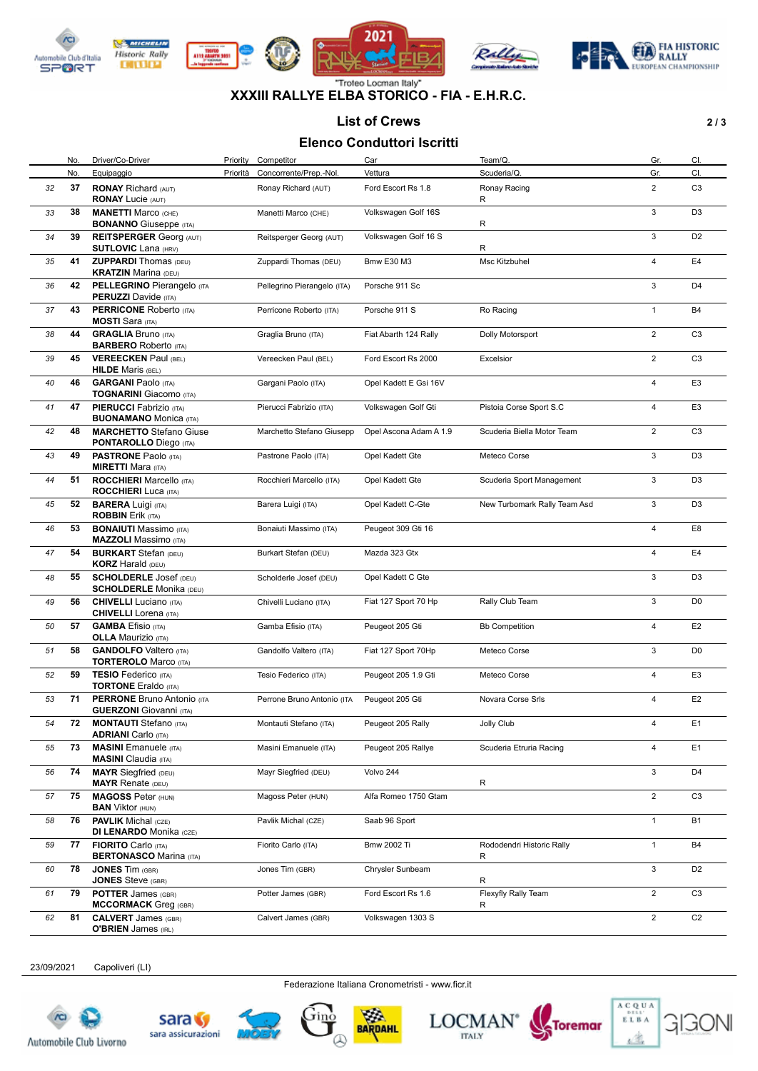

**DITURN** 









#### "Troteo Locman Italy" **XXXIII RALLYE ELBA STORICO - FIA - E.H.R.C.**

#### List of Crews 2/3

# **Elenco Conduttori Iscritti**

|    | Elenco Conduttori Iscritti |                                                                     |          |                             |                        |                                |                |                |  |  |  |
|----|----------------------------|---------------------------------------------------------------------|----------|-----------------------------|------------------------|--------------------------------|----------------|----------------|--|--|--|
|    | No.                        | Driver/Co-Driver                                                    | Priority | Competitor                  | Car                    | Team/Q                         | Gr.            | CI.            |  |  |  |
|    | No.                        | Equipaggio                                                          | Priorità | Concorrente/Prep.-Nol.      | Vettura                | Scuderia/Q.                    | Gr.            | CI.            |  |  |  |
| 32 | 37                         | <b>RONAY Richard (AUT)</b>                                          |          | Ronay Richard (AUT)         | Ford Escort Rs 1.8     | Ronay Racing                   | $\overline{2}$ | C <sub>3</sub> |  |  |  |
| 33 | 38                         | <b>RONAY Lucie (AUT)</b><br><b>MANETTI Marco (CHE)</b>              |          | Manetti Marco (CHE)         | Volkswagen Golf 16S    | R                              | 3              | D <sub>3</sub> |  |  |  |
| 34 | 39                         | <b>BONANNO</b> Giuseppe (ITA)<br><b>REITSPERGER Georg (AUT)</b>     |          | Reitsperger Georg (AUT)     | Volkswagen Golf 16 S   | R                              | 3              | D <sub>2</sub> |  |  |  |
|    |                            | <b>SUTLOVIC Lana (HRV)</b>                                          |          |                             |                        | R                              |                |                |  |  |  |
| 35 | 41                         | <b>ZUPPARDI</b> Thomas (DEU)<br><b>KRATZIN Marina (DEU)</b>         |          | Zuppardi Thomas (DEU)       | <b>Bmw E30 M3</b>      | Msc Kitzbuhel                  | 4              | E4             |  |  |  |
| 36 | 42                         | <b>PELLEGRINO Pierangelo (ITA</b><br><b>PERUZZI</b> Davide (ITA)    |          | Pellegrino Pierangelo (ITA) | Porsche 911 Sc         |                                | 3              | D <sub>4</sub> |  |  |  |
| 37 | 43                         | <b>PERRICONE Roberto (ITA)</b><br><b>MOSTI</b> Sara (ITA)           |          | Perricone Roberto (ITA)     | Porsche 911 S          | Ro Racing                      | $\mathbf{1}$   | <b>B4</b>      |  |  |  |
| 38 | 44                         | <b>GRAGLIA Bruno (ITA)</b><br><b>BARBERO</b> Roberto (ITA)          |          | Graglia Bruno (ITA)         | Fiat Abarth 124 Rally  | Dolly Motorsport               | $\overline{2}$ | C <sub>3</sub> |  |  |  |
| 39 | 45                         | <b>VEREECKEN Paul (BEL)</b><br><b>HILDE</b> Maris (BEL)             |          | Vereecken Paul (BEL)        | Ford Escort Rs 2000    | Excelsior                      | $\overline{2}$ | C <sub>3</sub> |  |  |  |
| 40 | 46                         | <b>GARGANI Paolo (ITA)</b><br><b>TOGNARINI</b> Giacomo (ITA)        |          | Gargani Paolo (ITA)         | Opel Kadett E Gsi 16V  |                                | 4              | E <sub>3</sub> |  |  |  |
| 41 | 47                         | <b>PIERUCCI</b> Fabrizio (ITA)<br><b>BUONAMANO</b> Monica (ITA)     |          | Pierucci Fabrizio (ITA)     | Volkswagen Golf Gti    | Pistoia Corse Sport S.C        | 4              | E <sub>3</sub> |  |  |  |
| 42 | 48                         | <b>MARCHETTO Stefano Giuse</b><br><b>PONTAROLLO</b> Diego (ITA)     |          | Marchetto Stefano Giusepp   | Opel Ascona Adam A 1.9 | Scuderia Biella Motor Team     | $\overline{2}$ | C <sub>3</sub> |  |  |  |
| 43 | 49                         | <b>PASTRONE Paolo (ITA)</b><br><b>MIRETTI Mara (ITA)</b>            |          | Pastrone Paolo (ITA)        | Opel Kadett Gte        | Meteco Corse                   | 3              | D <sub>3</sub> |  |  |  |
| 44 | 51                         | <b>ROCCHIERI</b> Marcello (ITA)<br><b>ROCCHIERI</b> Luca (ITA)      |          | Rocchieri Marcello (ITA)    | Opel Kadett Gte        | Scuderia Sport Management      | 3              | D <sub>3</sub> |  |  |  |
| 45 | 52                         | <b>BARERA Luigi (ITA)</b><br><b>ROBBIN Erik (ITA)</b>               |          | Barera Luigi (ITA)          | Opel Kadett C-Gte      | New Turbomark Rally Team Asd   | 3              | D <sub>3</sub> |  |  |  |
| 46 | 53                         | <b>BONAIUTI</b> Massimo (ITA)<br><b>MAZZOLI</b> Massimo (ITA)       |          | Bonaiuti Massimo (ITA)      | Peugeot 309 Gti 16     |                                | 4              | E <sub>8</sub> |  |  |  |
| 47 | 54                         | <b>BURKART</b> Stefan (DEU)<br><b>KORZ</b> Harald (DEU)             |          | Burkart Stefan (DEU)        | Mazda 323 Gtx          |                                | 4              | E4             |  |  |  |
| 48 | 55                         | <b>SCHOLDERLE Josef (DEU)</b><br><b>SCHOLDERLE Monika (DEU)</b>     |          | Scholderle Josef (DEU)      | Opel Kadett C Gte      |                                | 3              | D <sub>3</sub> |  |  |  |
| 49 | 56                         | <b>CHIVELLI</b> Luciano (ITA)<br><b>CHIVELLI</b> Lorena (ITA)       |          | Chivelli Luciano (ITA)      | Fiat 127 Sport 70 Hp   | Rally Club Team                | 3              | D <sub>0</sub> |  |  |  |
| 50 | 57                         | <b>GAMBA</b> Efisio (ITA)<br><b>OLLA Maurizio (ITA)</b>             |          | Gamba Efisio (ITA)          | Peugeot 205 Gti        | <b>Bb Competition</b>          | 4              | E <sub>2</sub> |  |  |  |
| 51 | 58                         | <b>GANDOLFO</b> Valtero (ITA)<br><b>TORTEROLO Marco (ITA)</b>       |          | Gandolfo Valtero (ITA)      | Fiat 127 Sport 70Hp    | Meteco Corse                   | 3              | D <sub>0</sub> |  |  |  |
| 52 | 59                         | <b>TESIO Federico</b> (ITA)<br><b>TORTONE Eraldo (ITA)</b>          |          | Tesio Federico (ITA)        | Peugeot 205 1.9 Gti    | Meteco Corse                   | 4              | E <sub>3</sub> |  |  |  |
| 53 | 71                         | <b>PERRONE Bruno Antonio (ITA</b><br><b>GUERZONI</b> Giovanni (ITA) |          | Perrone Bruno Antonio (ITA  | Peugeot 205 Gti        | Novara Corse Srls              | 4              | E <sub>2</sub> |  |  |  |
| 54 | 72                         | <b>MONTAUTI</b> Stefano (ITA)<br><b>ADRIANI</b> Carlo (ITA)         |          | Montauti Stefano (ITA)      | Peugeot 205 Rally      | <b>Jolly Club</b>              | 4              | E1             |  |  |  |
| 55 | 73                         | <b>MASINI</b> Emanuele (ITA)<br><b>MASINI</b> Claudia (ITA)         |          | Masini Emanuele (ITA)       | Peugeot 205 Rallye     | Scuderia Etruria Racing        | 4              | E <sub>1</sub> |  |  |  |
| 56 | 74                         | <b>MAYR</b> Siegfried (DEU)<br><b>MAYR Renate (DEU)</b>             |          | Mayr Siegfried (DEU)        | Volvo 244              | R                              | 3              | D <sub>4</sub> |  |  |  |
| 57 | 75                         | <b>MAGOSS Peter (HUN)</b><br><b>BAN</b> Viktor (HUN)                |          | Magoss Peter (HUN)          | Alfa Romeo 1750 Gtam   |                                | $\overline{2}$ | C <sub>3</sub> |  |  |  |
| 58 | 76                         | <b>PAVLIK</b> Michal (CZE)<br><b>DI LENARDO Monika (CZE)</b>        |          | Pavlik Michal (CZE)         | Saab 96 Sport          |                                | $\mathbf{1}$   | <b>B1</b>      |  |  |  |
| 59 | 77                         | <b>FIORITO</b> Carlo (ITA)<br><b>BERTONASCO Marina (ITA)</b>        |          | Fiorito Carlo (ITA)         | Bmw 2002 Ti            | Rododendri Historic Rally<br>R | $\mathbf{1}$   | <b>B4</b>      |  |  |  |
| 60 | 78                         | <b>JONES Tim (GBR)</b><br><b>JONES</b> Steve (GBR)                  |          | Jones Tim (GBR)             | Chrysler Sunbeam       | R                              | 3              | D <sub>2</sub> |  |  |  |
| 61 | 79                         | <b>POTTER James (GBR)</b><br><b>MCCORMACK</b> Greg (GBR)            |          | Potter James (GBR)          | Ford Escort Rs 1.6     | Flexyfly Rally Team<br>R       | $\overline{2}$ | C <sub>3</sub> |  |  |  |
| 62 | 81                         | <b>CALVERT</b> James (GBR)<br><b>O'BRIEN</b> James (IRL)            |          | Calvert James (GBR)         | Volkswagen 1303 S      |                                | $\overline{2}$ | C <sub>2</sub> |  |  |  |

23/09/2021 Capoliveri (LI)

Federazione Italiana Cronometristi - www.ficr.it